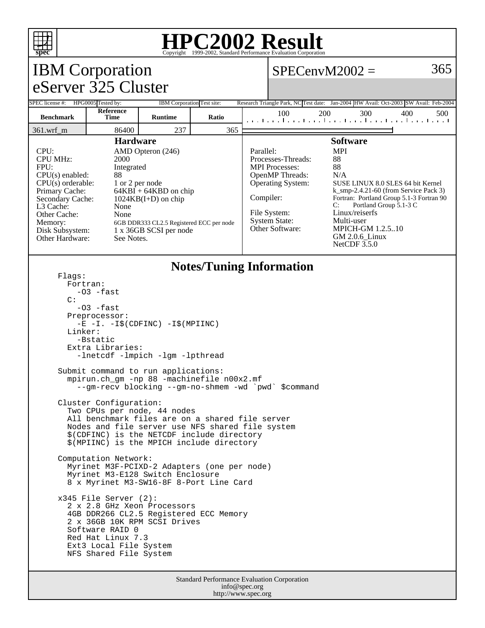

### **HPC2002 Result**  $\overline{\text{Copyright}} \textcircled{\scriptsize{1999-2002}}$ , Standard Performance

#### Standard Performance Evaluation Corporation IBM Corporation eServer 325 Cluster  $SPECenvM2002 = 365$ SPEC license #: HPG0005 Tested by: IBM Corporation Test site: Research Triangle Park, NC Test date: Jan-2004 HW Avail: Oct-2003 SW Avail: Feb-2004 **Benchmark Reference Time Runtime Ratio** 100 200 300 400 500 361.wrf\_m 86400 237 365 **Hardware** CPU: AMD Opteron (246) CPU MHz: 2000 FPU: Integrated  $CPU(s)$  enabled:  $88$ <br>CPU(s) orderable:  $1$  or 2 per node CPU(s) orderable:<br>Primary Cache:  $64KBI + 64KBD$  on chip Secondary Cache: 1024KB(I+D) on chip L3 Cache: None Other Cache: None Memory: 6GB DDR333 CL2.5 Registered ECC per node<br>Disk Subsystem: 1 x 36GB SCSI per node 1 x 36GB SCSI per node Other Hardware: See Notes. **Software** Parallel: MPI Processes-Threads: 88 MPI Processes: 88 OpenMP Threads: N/A Operating System: SUSE LINUX 8.0 SLES 64 bit Kernel k\_smp-2.4.21-60 (from Service Pack 3) Compiler: Fortran: Portland Group 5.1-3 Fortran 90<br>C: Portland Group 5.1-3 C Portland Group 5.1-3 C File System: Linux/reiserfs System State: Multi-user<br>Other Software: MPICH-G **MPICH-GM 1.2.5..10** GM 2.0.6\_Linux NetCDF 3.5.0 **Notes/Tuning Information** Flags: Fortran: -O3 -fast C:  $-03$   $-$ fast Preprocessor: -E -I. -I\$(CDFINC) -I\$(MPIINC) Linker: -Bstatic Extra Libraries: -lnetcdf -lmpich -lgm -lpthread Submit command to run applications: mpirun.ch\_gm -np 88 -machinefile n00x2.mf --gm-recv blocking --gm-no-shmem -wd `pwd` \$command Cluster Configuration: Two CPUs per node, 44 nodes All benchmark files are on a shared file server Nodes and file server use NFS shared file system \$(CDFINC) is the NETCDF include directory \$(MPIINC) is the MPICH include directory Computation Network: Myrinet M3F-PCIXD-2 Adapters (one per node) Myrinet M3-E128 Switch Enclosure 8 x Myrinet M3-SW16-8F 8-Port Line Card x345 File Server (2): 2 x 2.8 GHz Xeon Processors 4GB DDR266 CL2.5 Registered ECC Memory 2 x 36GB 10K RPM SCSI Drives Software RAID 0 Red Hat Linux 7.3 Ext3 Local File System NFS Shared File System

info@spec.org http://www.spec.org